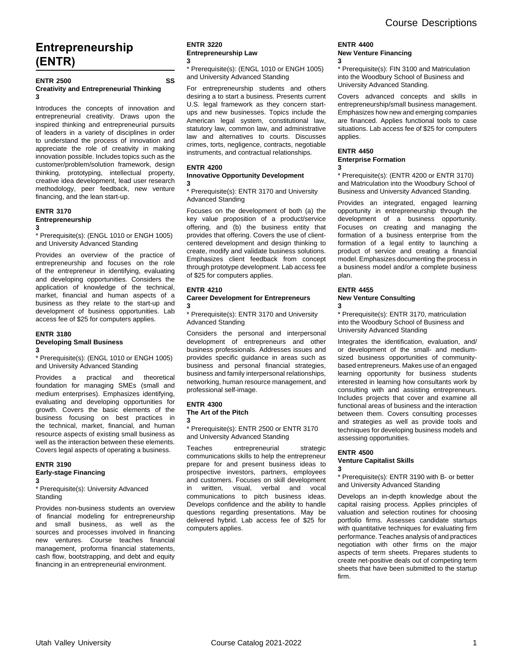# **Entrepreneurship (ENTR)**

### **ENTR 2500 SS Creativity and Entrepreneurial Thinking 3**

Introduces the concepts of innovation and entrepreneurial creativity. Draws upon the inspired thinking and entrepreneurial pursuits of leaders in a variety of disciplines in order to understand the process of innovation and appreciate the role of creativity in making innovation possible. Includes topics such as the customer/problem/solution framework, design thinking, prototyping, intellectual property, creative idea development, lead user research methodology, peer feedback, new venture financing, and the lean start-up.

### **ENTR 3170 Entrepreneurship**

**3**

\* Prerequisite(s): (ENGL 1010 or ENGH 1005) and University Advanced Standing

Provides an overview of the practice of entrepreneurship and focuses on the role of the entrepreneur in identifying, evaluating and developing opportunities. Considers the application of knowledge of the technical, market, financial and human aspects of a business as they relate to the start-up and development of business opportunities. Lab access fee of \$25 for computers applies.

### **ENTR 3180 Developing Small Business 3**

\* Prerequisite(s): (ENGL 1010 or ENGH 1005) and University Advanced Standing

Provides a practical and theoretical foundation for managing SMEs (small and medium enterprises). Emphasizes identifying, evaluating and developing opportunities for growth. Covers the basic elements of the business focusing on best practices in the technical, market, financial, and human resource aspects of existing small business as well as the interaction between these elements. Covers legal aspects of operating a business.

### **ENTR 3190 Early-stage Financing**

**3**

\* Prerequisite(s): University Advanced **Standing** 

Provides non-business students an overview of financial modeling for entrepreneurship and small business, as well as the sources and processes involved in financing new ventures. Course teaches financial management, proforma financial statements, cash flow, bootstrapping, and debt and equity financing in an entrepreneurial environment.

### **ENTR 3220 Entrepreneurship Law 3**

\* Prerequisite(s): (ENGL 1010 or ENGH 1005) and University Advanced Standing

For entrepreneurship students and others desiring a to start a business. Presents current U.S. legal framework as they concern startups and new businesses. Topics include the American legal system, constitutional law, statutory law, common law, and administrative law and alternatives to courts. Discusses crimes, torts, negligence, contracts, negotiable instruments, and contractual relationships.

### **ENTR 4200**

#### **Innovative Opportunity Development 3**

\* Prerequisite(s): ENTR 3170 and University Advanced Standing

Focuses on the development of both (a) the key value proposition of a product/service offering, and (b) the business entity that provides that offering. Covers the use of clientcentered development and design thinking to create, modify and validate business solutions. Emphasizes client feedback from concept through prototype development. Lab access fee of \$25 for computers applies.

### **ENTR 4210**

### **Career Development for Entrepreneurs 3**

\* Prerequisite(s): ENTR 3170 and University Advanced Standing

Considers the personal and interpersonal development of entrepreneurs and other business professionals. Addresses issues and provides specific guidance in areas such as business and personal financial strategies, business and family interpersonal relationships, networking, human resource management, and professional self-image.

### **ENTR 4300**

**3**

**The Art of the Pitch**

### \* Prerequisite(s): ENTR 2500 or ENTR 3170 and University Advanced Standing

Teaches entrepreneurial strategic communications skills to help the entrepreneur prepare for and present business ideas to prospective investors, partners, employees and customers. Focuses on skill development in written, visual, verbal and vocal communications to pitch business ideas. Develops confidence and the ability to handle questions regarding presentations. May be delivered hybrid. Lab access fee of \$25 for computers applies.

### **ENTR 4400 New Venture Financing 3**

\* Prerequisite(s): FIN 3100 and Matriculation into the Woodbury School of Business and University Advanced Standing.

Covers advanced concepts and skills in entrepreneurship/small business management. Emphasizes how new and emerging companies are financed. Applies functional tools to case situations. Lab access fee of \$25 for computers applies.

### **ENTR 4450 Enterprise Formation 3**

\* Prerequisite(s): (ENTR 4200 or ENTR 3170) and Matriculation into the Woodbury School of Business and University Advanced Standing.

Provides an integrated, engaged learning opportunity in entrepreneurship through the development of a business opportunity. Focuses on creating and managing the formation of a business enterprise from the formation of a legal entity to launching a product of service and creating a financial model. Emphasizes documenting the process in a business model and/or a complete business plan.

### **ENTR 4455**

#### **New Venture Consulting 3**

\* Prerequisite(s): ENTR 3170, matriculation into the Woodbury School of Business and University Advanced Standing

Integrates the identification, evaluation, and/ or development of the small- and mediumsized business opportunities of communitybased entrepreneurs. Makes use of an engaged learning opportunity for business students interested in learning how consultants work by consulting with and assisting entrepreneurs. Includes projects that cover and examine all functional areas of business and the interaction between them. Covers consulting processes and strategies as well as provide tools and techniques for developing business models and assessing opportunities.

### **ENTR 4500 Venture Capitalist Skills**

**3**

\* Prerequisite(s): ENTR 3190 with B- or better and University Advanced Standing

Develops an in-depth knowledge about the capital raising process. Applies principles of valuation and selection routines for choosing portfolio firms. Assesses candidate startups with quantitative techniques for evaluating firm performance. Teaches analysis of and practices negotiation with other firms on the major aspects of term sheets. Prepares students to create net-positive deals out of competing term sheets that have been submitted to the startup firm.